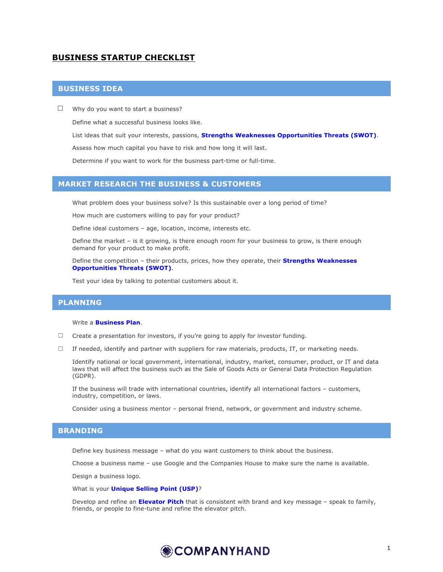# **BUSINESS STARTUP CHECKLIST**

## **BUSINESS IDEA**

 $\Box$  Why do you want to start a business?

Define what a successful business looks like.

List ideas that suit your interests, passions, **Strengths Weaknesses Opportunities Threats (SWOT)**.

Assess how much capital you have to risk and how long it will last.

Determine if you want to work for the business part-time or full-time.

### **MARKET RESEARCH THE BUSINESS & CUSTOMERS**

What problem does your business solve? Is this sustainable over a long period of time?

How much are customers willing to pay for your product?

Define ideal customers – age, location, income, interests etc.

 Define the market – is it growing, is there enough room for your business to grow, is there enough demand for your product to make profit.

 Define the competition – their products, prices, how they operate, their **Strengths Weaknesses Opportunities Threats (SWOT)**.

Test your idea by talking to potential customers about it.

## **PLANNING**

#### Write a **Business Plan**.

- $\Box$  Create a presentation for investors, if you're going to apply for investor funding.
- $\Box$  If needed, identify and partner with suppliers for raw materials, products, IT, or marketing needs.

Identify national or local government, international, industry, market, consumer, product, or IT and data laws that will affect the business such as the Sale of Goods Acts or General Data Protection Regulation (GDPR).

 If the business will trade with international countries, identify all international factors – customers, industry, competition, or laws.

Consider using a business mentor – personal friend, network, or government and industry scheme.

#### **BRANDING**

Define key business message – what do you want customers to think about the business.

Choose a business name – use Google and the Companies House to make sure the name is available.

Design a business logo.

What is your **Unique Selling Point (USP)**?

 Develop and refine an **Elevator Pitch** that is consistent with brand and key message – speak to family, friends, or people to fine-tune and refine the elevator pitch.

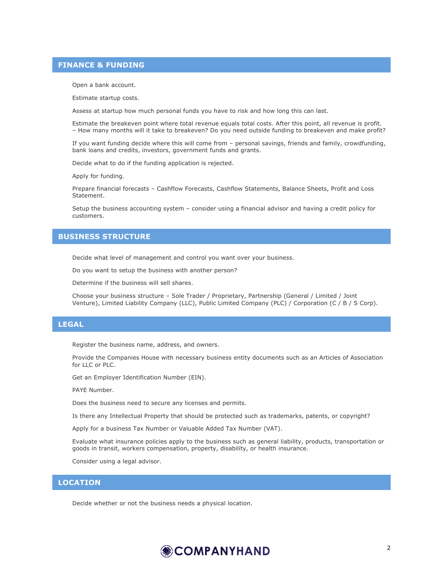#### **FINANCE & FUNDING**

Open a bank account.

Estimate startup costs.

Assess at startup how much personal funds you have to risk and how long this can last.

 Estimate the breakeven point where total revenue equals total costs. After this point, all revenue is profit. – How many months will it take to breakeven? Do you need outside funding to breakeven and make profit?

 If you want funding decide where this will come from – personal savings, friends and family, crowdfunding, bank loans and credits, investors, government funds and grants.

Decide what to do if the funding application is rejected.

Apply for funding.

 Prepare financial forecasts – Cashflow Forecasts, Cashflow Statements, Balance Sheets, Profit and Loss Statement.

 Setup the business accounting system – consider using a financial advisor and having a credit policy for customers.

## **BUSINESS STRUCTURE**

Decide what level of management and control you want over your business.

Do you want to setup the business with another person?

Determine if the business will sell shares.

 Choose your business structure – Sole Trader / Proprietary, Partnership (General / Limited / Joint Venture), Limited Liability Company (LLC), Public Limited Company (PLC) / Corporation (C / B / S Corp).

## **LEGAL**

Register the business name, address, and owners.

 Provide the Companies House with necessary business entity documents such as an Articles of Association for LLC or PLC.

Get an Employer Identification Number (EIN).

PAYE Number.

Does the business need to secure any licenses and permits.

Is there any Intellectual Property that should be protected such as trademarks, patents, or copyright?

Apply for a business Tax Number or Valuable Added Tax Number (VAT).

 Evaluate what insurance policies apply to the business such as general liability, products, transportation or goods in transit, workers compensation, property, disability, or health insurance.

Consider using a legal advisor.

## **LOCATION**

Decide whether or not the business needs a physical location.

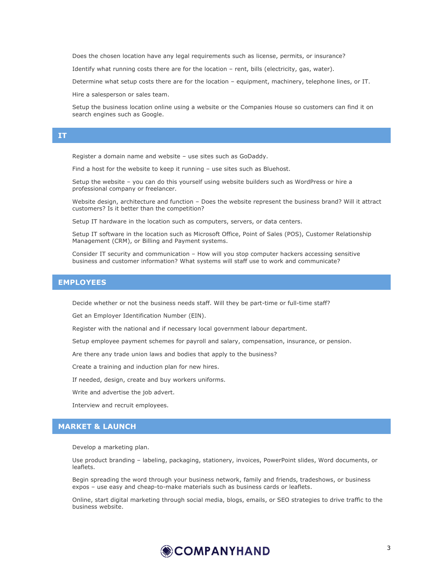Does the chosen location have any legal requirements such as license, permits, or insurance?

Identify what running costs there are for the location – rent, bills (electricity, gas, water).

Determine what setup costs there are for the location – equipment, machinery, telephone lines, or IT.

Hire a salesperson or sales team.

 Setup the business location online using a website or the Companies House so customers can find it on search engines such as Google.

#### **IT**

Register a domain name and website – use sites such as GoDaddy.

Find a host for the website to keep it running – use sites such as Bluehost.

 Setup the website – you can do this yourself using website builders such as WordPress or hire a professional company or freelancer.

 Website design, architecture and function – Does the website represent the business brand? Will it attract customers? Is it better than the competition?

Setup IT hardware in the location such as computers, servers, or data centers.

 Setup IT software in the location such as Microsoft Office, Point of Sales (POS), Customer Relationship Management (CRM), or Billing and Payment systems.

 Consider IT security and communication – How will you stop computer hackers accessing sensitive business and customer information? What systems will staff use to work and communicate?

## **EMPLOYEES**

Decide whether or not the business needs staff. Will they be part-time or full-time staff?

Get an Employer Identification Number (EIN).

Register with the national and if necessary local government labour department.

Setup employee payment schemes for payroll and salary, compensation, insurance, or pension.

Are there any trade union laws and bodies that apply to the business?

Create a training and induction plan for new hires.

If needed, design, create and buy workers uniforms.

Write and advertise the job advert.

Interview and recruit employees.

## **MARKET & LAUNCH**

Develop a marketing plan.

 Use product branding – labeling, packaging, stationery, invoices, PowerPoint slides, Word documents, or leaflets.

 Begin spreading the word through your business network, family and friends, tradeshows, or business expos – use easy and cheap-to-make materials such as business cards or leaflets.

 Online, start digital marketing through social media, blogs, emails, or SEO strategies to drive traffic to the business website.